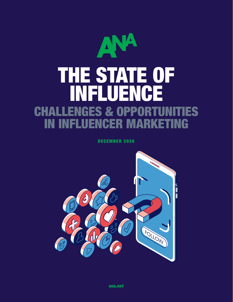

DECEMBER 2020



[ana.net](http://www.ana.net)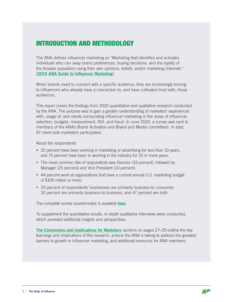# INTRODUCTION AND METHODOLOGY

The ANA defines influencer marketing as "Marketing that identifies and activates individuals who can sway brand preferences, buying decisions, and the loyalty of the broader population using their own opinions, beliefs, and/or marketing channels." ([2019 ANA Guide to Influencer Marketing](https://www.ana.net/miccontent/show/id/dm-toolprofile-influencer-guide))

When brands need to connect with a specific audience, they are increasingly turning to influencers who already have a connection to, and have cultivated trust with, those audiences.

This report covers the findings from 2020 quantitative and qualitative research conducted by the ANA. The purpose was to gain a greater understanding of marketers' experiences with, usage of, and needs surrounding influencer marketing in the areas of influencer selection, budgets, measurement, ROI, and fraud. In June 2020, a survey was sent to members of the ANA's Brand Activation and Brand and Media committees. In total, 97 client-side marketers participated.

About the respondents:

- 25 percent have been working in marketing or advertising for less than 10 years, and 75 percent have been in working in the industry for 10 or more years.
- The most common title of respondents was Director (33 percent), followed by Manager (25 percent) and Vice President (10 percent).
- 44 percent work at organizations that have a current annual U.S. marketing budget of \$100 million or more.
- 33 percent of respondents' businesses are primarily business-to-consumer, 20 percent are primarily business-to-business, and 47 percent are both.

The complete survey questionnaire is available [here](http://www.ana.net/getfile/31152).

To supplement the quantitative results, in-depth qualitative interviews were conducted, which provided additional insights and perspectives.

[The Conclusions and Implications for Marketers](#page-26-0) sections on pages 27–29 outline the key learnings and implications of this research, actions the ANA is taking to address the greatest barriers to growth in influencer marketing, and additional resources for ANA members.

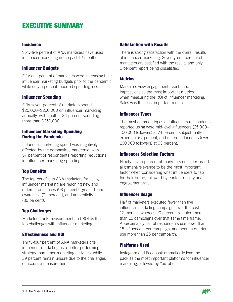# EXECUTIVE SUMMARY

#### Incidence

Sixty-five percent of ANA marketers have used influencer marketing in the past 12 months.

#### Influencer Budgets

Fifty-one percent of marketers were increasing their influencer marketing budgets prior to the pandemic, while only 5 percent reported spending less.

### Influencer Spending

Fifty-seven percent of marketers spend \$25,000–\$250,000 on influencer marketing annually, with another 34 percent spending more than \$250,000.

### Influencer Marketing Spending During the Pandemic

Influencer marketing spend was negatively affected by the coronavirus pandemic, with 57 percent of respondents reporting reductions in influencer marketing spending.

### Top Benefits

The top benefits to ANA marketers for using influencer marketing are reaching new and different audiences (93 percent), greater brand awareness (91 percent), and authenticity (86 percent).

### Top Challenges

Marketers rank measurement and ROI as the top challenges with influencer marketing.

### Effectiveness and ROI

Thirty-four percent of ANA marketers cite influencer marketing as a better-performing strategy than other marketing activities, while 39 percent remain unsure due to the challenges of accurate measurement.

#### Satisfaction with Results

There is strong satisfaction with the overall results of influencer marketing. Seventy-one percent of marketers are satisfied with the results and only 6 percent report being dissatisfied.

#### **Metrics**

Marketers view engagement, reach, and impressions as the most important metrics when measuring the ROI of influencer marketing. Sales was the least important metric.

#### Influencer Types

The most common types of influencers respondents reported using were mid-level influencers (25,000– 100,000 followers) at 74 percent, subject matter experts at 67 percent, and macro-influencers (over 100,000 followers) at 63 percent.

### Influencer Selection Factors

Ninety-seven percent of marketers consider brand alignment/relevance to be the most important factor when considering what influencers to tap for their brand, followed by content quality and engagement rate.

#### Influencer Usage

Half of marketers executed fewer than five influencer marketing campaigns over the past 12 months, whereas 20 percent executed more than 15 campaigns over that same time frame. Approximately half of respondents use fewer than 15 influencers per campaign, and about a quarter use more than 25 per campaign.

### Platforms Used

Instagram and Facebook dramatically lead the pack as the most important platforms for influencer marketing, followed by YouTube.

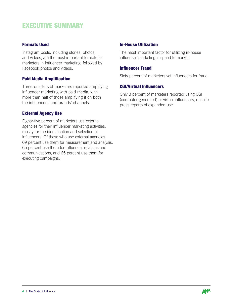# EXECUTIVE SUMMARY

### Formats Used

Instagram posts, including stories, photos, and videos, are the most important formats for marketers in influencer marketing, followed by Facebook photos and videos.

### Paid Media Amplification

Three-quarters of marketers reported amplifying influencer marketing with paid media, with more than half of those amplifying it on both the influencers' and brands' channels.

### External Agency Use

Eighty-five percent of marketers use external agencies for their influencer marketing activities, mostly for the identification and selection of influencers. Of those who use external agencies, 69 percent use them for measurement and analysis, 65 percent use them for influencer relations and communications, and 65 percent use them for executing campaigns.

### In-House Utilization

The most important factor for utilizing in-house influencer marketing is speed to market.

### Influencer Fraud

Sixty percent of marketers vet influencers for fraud.

### CGI/Virtual Influencers

Only 3 percent of marketers reported using CGI (computer-generated) or virtual influencers, despite press reports of expanded use.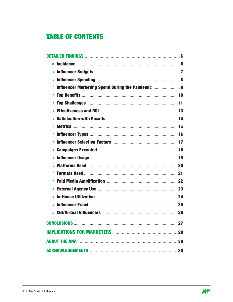# **TABLE OF CONTENTS**

| » Incidence <b>matures and the Contract of Section</b> 6             |  |
|----------------------------------------------------------------------|--|
|                                                                      |  |
|                                                                      |  |
| <b>&gt; Influencer Marketing Spend During the Pandemic 9</b>         |  |
|                                                                      |  |
|                                                                      |  |
|                                                                      |  |
|                                                                      |  |
| Ÿ.                                                                   |  |
|                                                                      |  |
|                                                                      |  |
|                                                                      |  |
|                                                                      |  |
|                                                                      |  |
|                                                                      |  |
|                                                                      |  |
|                                                                      |  |
| Ÿ.                                                                   |  |
| <b>&gt; Influencer Fraud manual members of the State of Tanah 25</b> |  |
| $\mathbf{v}$                                                         |  |
|                                                                      |  |
|                                                                      |  |
|                                                                      |  |
| 30                                                                   |  |

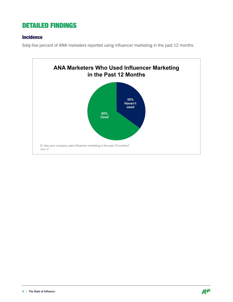### <span id="page-5-0"></span>Incidence

Sixty-five percent of ANA marketers reported using influencer marketing in the past 12 months.



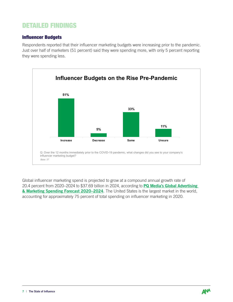### Influencer Budgets

Respondents reported that their influencer marketing budgets were increasing prior to the pandemic. Just over half of marketers (51 percent) said they were spending more, with only 5 percent reporting they were spending less.



Global influencer marketing spend is projected to grow at a compound annual growth rate of 20.4 percent from 2020-2024 to \$37.69 billion in 2024, according to PQ Media's Global Advertising [& Marketing Spending Forecast 2020–2024](https://www.pqmedia.com/product/global-advertising-marketing-spending-forecast-2020-2024/). The United States is the largest market in the world, accounting for approximately 75 percent of total spending on influencer marketing in 2020.

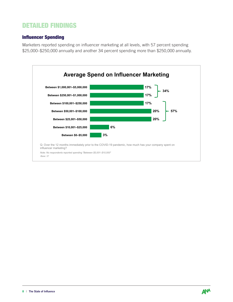### Influencer Spending

Marketers reported spending on influencer marketing at all levels, with 57 percent spending \$25,000–\$250,000 annually and another 34 percent spending more than \$250,000 annually.



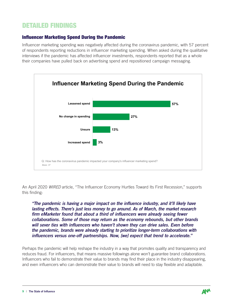Influencer marketing spending was negatively affected during the coronavirus pandemic, with 57 percent of respondents reporting reductions in influencer marketing spending. When asked during the qualitative interviews if the pandemic has affected influencer investments, respondents reported that as a whole their companies have pulled back on advertising spend and repositioned campaign messaging.



An April 2020 *WIRED* article, "The Influencer Economy Hurtles Toward Its First Recession," supports this finding:

*"The pandemic is having a major impact on the influence industry, and it'll likely have lasting effects. There's just less money to go around. As of March, the market research firm eMarketer found that about a third of influencers were already seeing fewer collaborations. Some of those may return as the economy rebounds, but other brands will sever ties with influencers who haven't shown they can drive sales. Even before the pandemic, brands were already starting to prioritize longer-term collaborations with influencers versus one-off partnerships. Now, [we] expect that trend to accelerate."*

Perhaps the pandemic will help reshape the industry in a way that promotes quality and transparency and reduces fraud. For influencers, that means massive followings alone won't guarantee brand collaborations. Influencers who fail to demonstrate their value to brands may find their place in the industry disappearing, and even influencers who can demonstrate their value to brands will need to stay flexible and adaptable.

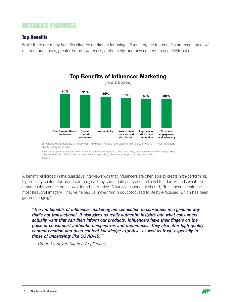### Top Benefits

While there are many benefits cited by marketers for using influencers, the top benefits are reaching new/ different audiences, greater brand awareness, authenticity, and new content creation/distribution.



A benefit reinforced in the qualitative interviews was that influencers are often able to create high-performing, high-quality content for brand campaigns. They can create at a pace and level that far exceeds what the brand could produce on its own, for a better price. A survey respondent shared, "Influencers create the most beautiful imagery. They've helped us move from product-focused to lifestyle-focused, which has been game-changing."

*"The top benefits of influencer marketing are connection to consumers in a genuine way that's not transactional. It also gives us really authentic insights into what consumers actually want that can then inform our products. Influencers have their fingers on the pulse of consumers' authentic perspectives and preferences. They also offer high-quality content creation and deep content knowledge expertise, as well as trust, especially in times of uncertainty like COVID-19."* 

*— Brand Manager, Kitchen Appliances*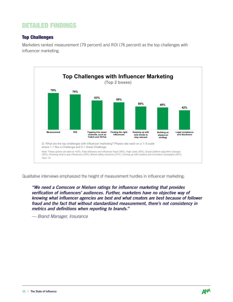### Top Challenges

Marketers ranked measurement (79 percent) and ROI (76 percent) as the top challenges with influencer marketing.



Qualitative interviews emphasized the height of measurement hurdles in influencer marketing:

*"We need a Comscore or Nielsen ratings for influencer marketing that provides verification of influencers' audiences. Further, marketers have no objective way of knowing what influencer agencies are best and what creators are best because of follower fraud and the fact that without standardized measurement, there's not consistency in metrics and definitions when reporting to brands."*

*— Brand Manager, Insurance*

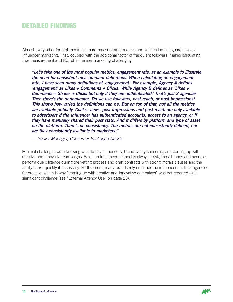Almost every other form of media has hard measurement metrics and verification safeguards except influencer marketing. That, coupled with the additional factor of fraudulent followers, makes calculating true measurement and ROI of influencer marketing challenging.

*"Let's take one of the most popular metrics, engagement rate, as an example to illustrate the need for consistent measurement definitions. When calculating an engagement rate, I have seen many definitions of 'engagement.' For example, Agency A defines 'engagement' as Likes + Comments + Clicks. While Agency B defines as 'Likes + Comments + Shares + Clicks but only if they are authenticated.' That's just 2 agencies. Then there's the denominator. Do we use followers, post reach, or post impressions? This shows how varied the definitions can be. But on top of that, not all the metrics are available publicly. Clicks, views, post impressions and post reach are only available to advertisers if the influencer has authenticated accounts, access to an agency, or if they have manually shared their post stats. And it differs by platform and type of asset on the platform. There's no consistency. The metrics are not consistently defined, nor are they consistently available to marketers."*

*— Senior Manager, Consumer Packaged Goods*

Minimal challenges were knowing what to pay influencers, brand safety concerns, and coming up with creative and innovative campaigns. While an influencer scandal is always a risk, most brands and agencies perform due diligence during the vetting process and craft contracts with strong morals clauses and the ability to exit quickly if necessary. Furthermore, many brands rely on either the influencers or their agencies for creative, which is why "coming up with creative and innovative campaigns" was not reported as a significant challenge (see "External Agency Use" on page 23).

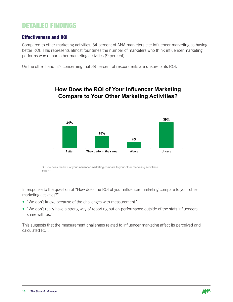### Effectiveness and ROI

Compared to other marketing activities, 34 percent of ANA marketers cite influencer marketing as having better ROI. This represents almost four times the number of marketers who think influencer marketing performs worse than other marketing activities (9 percent).

On the other hand, it's concerning that 39 percent of respondents are unsure of its ROI.



In response to the question of "How does the ROI of your influencer marketing compare to your other marketing activities?":

- "We don't know, because of the challenges with measurement."
- "We don't really have a strong way of reporting out on performance outside of the stats influencers share with us."

This suggests that the measurement challenges related to influencer marketing affect its perceived and calculated ROI.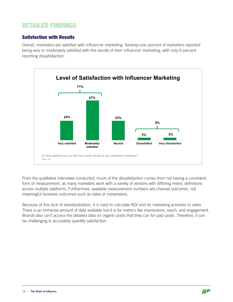### Satisfaction with Results

Overall, marketers are satisfied with influencer marketing. Seventy-one percent of marketers reported being very or moderately satisfied with the results of their influencer marketing, with only 6 percent reporting dissatisfaction.



From the qualitative interviews conducted, much of the dissatisfaction comes from not having a consistent form of measurement, as many marketers work with a variety of vendors with differing metric definitions across multiple platforms. Furthermore, available measurement numbers are channel outcomes, not meaningful business outcomes such as sales or conversions.

Because of this lack of standardization, it is hard to calculate ROI and tie marketing activities to sales. There is an immense amount of data available but it is for metrics like impressions, reach, and engagement. Brands also can't access the detailed data on organic posts that they can for paid posts. Therefore, it can be challenging to accurately quantify satisfaction.

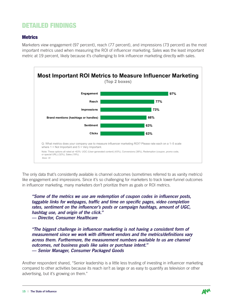### **Metrics**

Marketers view engagement (97 percent), reach (77 percent), and impressions (73 percent) as the most important metrics used when measuring the ROI of influencer marketing. Sales was the least important metric at 19 percent, likely because it's challenging to link influencer marketing directly with sales.



The only data that's consistently available is channel outcomes (sometimes referred to as vanity metrics) like engagement and impressions. Since it's so challenging for marketers to track lower-funnel outcomes in influencer marketing, many marketers don't prioritize them as goals or ROI metrics.

*"Some of the metrics we use are redemption of coupon codes in influencer posts, taggable links for webpages, traffic and time on specific pages, video completion rates, sentiment on the influencer's posts or campaign hashtags, amount of UGC, hashtag use, and origin of the click." — Director, Consumer Healthcare*

*"The biggest challenge in influencer marketing is not having a consistent form of measurement since we work with different vendors and the metrics/definitions vary across them. Furthermore, the measurement numbers available to us are channel outcomes, not business goals like sales or purchase intent." — Senior Manager, Consumer Packaged Goods*

Another respondent shared, "Senior leadership is a little less trusting of investing in influencer marketing compared to other activities because its reach isn't as large or as easy to quantify as television or other advertising, but it's growing on them."

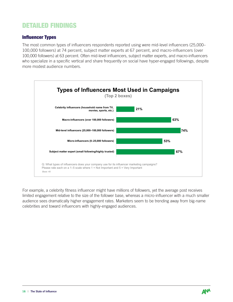### Influencer Types

The most common types of influencers respondents reported using were mid-level influencers (25,000– 100,000 followers) at 74 percent, subject matter experts at 67 percent, and macro-influencers (over 100,000 followers) at 63 percent. Often mid-level influencers, subject matter experts, and macro-influencers who specialize in a specific vertical and share frequently on social have hyper-engaged followings, despite more modest audience numbers.



For example, a celebrity fitness influencer might have millions of followers, yet the average post receives limited engagement relative to the size of the follower base, whereas a micro-influencer with a much smaller audience sees dramatically higher engagement rates. Marketers seem to be trending away from big-name celebrities and toward influencers with highly-engaged audiences.

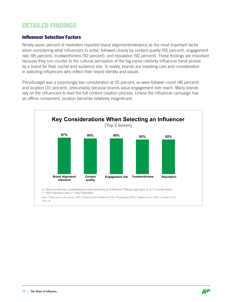### Influencer Selection Factors

Ninety-seven percent of marketers reported brand alignment/relevance as the most important factor when considering what influencers to enlist, followed closely by content quality (95 percent), engagement rate (95 percent), trustworthiness (92 percent), and reputation (92 percent). These findings are important because they run counter to the cultural perception of the big-name celebrity influencer hand-picked by a brand for their cachet and audience size. In reality, brands are investing care and consideration in selecting influencers who reflect their brand identity and values.

Price/budget was a surprisingly low consideration at 55 percent, as were follower count (46 percent) and location (31 percent), presumably because brands value engagement over reach. Many brands rely on the influencers to lead the full content creation process. Unless the influencer campaign has an offline component, location becomes relatively insignificant.



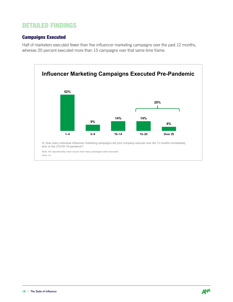### Campaigns Executed

Half of marketers executed fewer than five influencer marketing campaigns over the past 12 months, whereas 20 percent executed more than 15 campaigns over that same time frame.



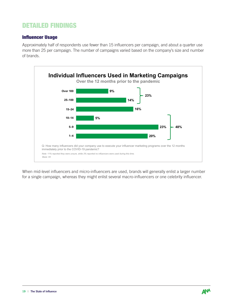### Influencer Usage

Approximately half of respondents use fewer than 15 influencers per campaign, and about a quarter use more than 25 per campaign. The number of campaigns varied based on the company's size and number of brands.



When mid-level influencers and micro-influencers are used, brands will generally enlist a larger number for a single campaign, whereas they might enlist several macro-influencers or one celebrity influencer.

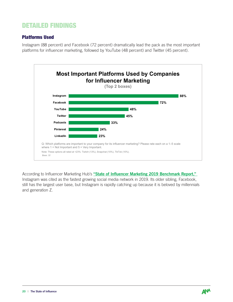### Platforms Used

Instagram (88 percent) and Facebook (72 percent) dramatically lead the pack as the most important platforms for influencer marketing, followed by YouTube (48 percent) and Twitter (45 percent).



According to Influencer Marketing Hub's "State of Influencer Marketing 2019 Benchmark Report," Instagram was cited as the fastest growing social media network in 2019. Its older sibling, Facebook, still has the largest user base, but Instagram is rapidly catching up because it is beloved by millennials and generation Z.

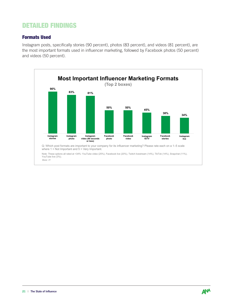### Formats Used

Instagram posts, specifically stories (90 percent), photos (83 percent), and videos (81 percent), are the most important formats used in influencer marketing, followed by Facebook photos (50 percent) and videos (50 percent).



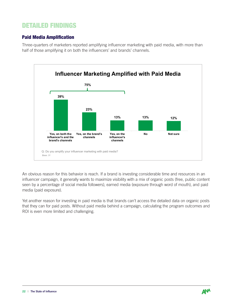### Paid Media Amplification

Three-quarters of marketers reported amplifying influencer marketing with paid media, with more than half of those amplifying it on both the influencers' and brands' channels.



An obvious reason for this behavior is reach. If a brand is investing considerable time and resources in an influencer campaign, it generally wants to maximize visibility with a mix of organic posts (free, public content seen by a percentage of social media followers), earned media (exposure through word of mouth), and paid media (paid exposure).

Yet another reason for investing in paid media is that brands can't access the detailed data on organic posts that they can for paid posts. Without paid media behind a campaign, calculating the program outcomes and ROI is even more limited and challenging.

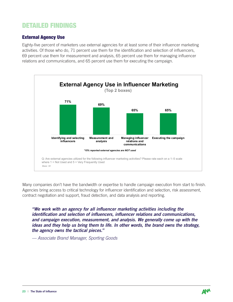### External Agency Use

Eighty-five percent of marketers use external agencies for at least some of their influencer marketing activities. Of those who do, 71 percent use them for the identification and selection of influencers, 69 percent use them for measurement and analysis, 65 percent use them for managing influencer relations and communications, and 65 percent use them for executing the campaign.



Many companies don't have the bandwidth or expertise to handle campaign execution from start to finish. Agencies bring access to critical technology for influencer identification and selection, risk assessment, contract negotiation and support, fraud detection, and data analysis and reporting.

*"We work with an agency for all influencer marketing activities including the identification and selection of influencers, influencer relations and communications, and campaign execution, measurement, and analysis. We generally come up with the ideas and they help us bring them to life. In other words, the brand owns the strategy, the agency owns the tactical pieces."*

*— Associate Brand Manager, Sporting Goods*

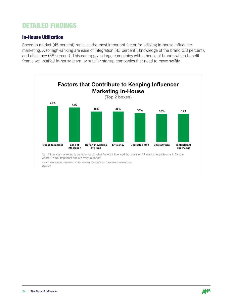### In-House Utilization

Speed to market (45 percent) ranks as the most important factor for utilizing in-house influencer marketing. Also high-ranking are ease of integration (43 percent), knowledge of the brand (38 percent), and efficiency (38 percent). This can apply to large companies with a house of brands which benefit from a well-staffed in-house team, or smaller startup companies that need to move swiftly.



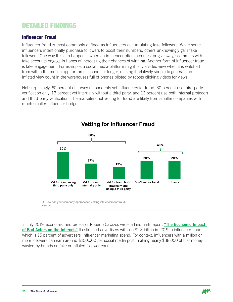### Influencer Fraud

Influencer fraud is most commonly defined as influencers accumulating fake followers. While some influencers intentionally purchase followers to boost their numbers, others unknowingly gain fake followers. One way this can happen is when an influencer offers a contest or giveaway, scammers with fake accounts engage in hopes of increasing their chances of winning. Another form of influencer fraud is fake engagement. For example, a social media platform might tally a video view when it is watched from within the mobile app for three seconds or longer, making it relatively simple to generate an inflated view count in the warehouses full of phones piloted by robots clicking videos for views.

Not surprisingly, 60 percent of survey respondents vet influencers for fraud: 30 percent use third-party verification only, 17 percent vet internally without a third party, and 13 percent use both internal protocols and third-party verification. The marketers not vetting for fraud are likely from smaller companies with much smaller influencer budgets.



In July 2019, economist and professor Roberto Cavazos wrote a landmark report, "The Economic Impact [of Bad Actors on the Internet."](https://www.ubalt.edu/news/news-releases.cfm?id=3425) It estimated advertisers will lose \$1.3 billion in 2019 to influencer fraud, which is 15 percent of advertisers' influencer marketing spend. For context, influencers with a million or more followers can earn around \$250,000 per social media post, making nearly \$38,000 of that money wasted by brands on fake or inflated follower counts.

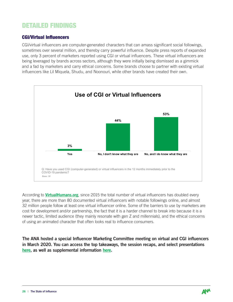### CGI/Virtual Influencers

CGI/virtual influencers are computer-generated characters that can amass significant social followings, sometimes over several million, and thereby carry powerful influence. Despite press reports of expanded use, only 3 percent of marketers reported using CGI or virtual influencers. These virtual influencers are being leveraged by brands across sectors, although they were initially being dismissed as a gimmick and a fad by marketers and carry ethical concerns. Some brands choose to partner with existing virtual influencers like Lil Miquela, Shudu, and Noonouri, while other brands have created their own.



According to [VirtualHumans.org](http://VirtualHumans.org), since 2015 the total number of virtual influencers has doubled every year, there are more than 80 documented virtual influencers with notable followings online, and almost 32 million people follow at least one virtual influencer online. Some of the barriers to use by marketers are cost for development and/or partnership, the fact that it is a harder channel to break into because it is a newer tactic, limited audience (they mainly resonate with gen Z and millennials), and the ethical concerns of using an animated character that often looks real to influence consumers.

The ANA hosted a special Influencer Marketing Committee meeting on virtual and CGI influencers in March 2020. You can access the top takeaways, the session recaps, and select presentations [here](https://www.ana.net/committee/meeting/id/BAA-INFL-MAR20), as well as supplemental information [here.](https://www.ana.net/miccontent/showvideo/id/v-comwwdd-200522)

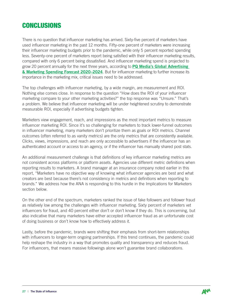# <span id="page-26-0"></span>**CONCLUSIONS**

There is no question that influencer marketing has arrived. Sixty-five percent of marketers have used influencer marketing in the past 12 months. Fifty-one percent of marketers were increasing their influencer marketing budgets prior to the pandemic, while only 5 percent reported spending less. Seventy-one percent of marketers report being satisfied with their influencer marketing results, compared with only 6 percent being dissatisfied. And influencer marketing spend is projected to grow 20 percent annually for the next three years, according to PQ Media's Global Advertising [& Marketing Spending Forecast 2020–2024](https://www.pqmedia.com/product/global-advertising-marketing-spending-forecast-2020-2024/). But for influencer marketing to further increase its importance in the marketing mix, critical issues need to be addressed.

The top challenges with influencer marketing, by a wide margin, are measurement and ROI. Nothing else comes close. In response to the question "How does the ROI of your influencer marketing compare to your other marketing activities?" the top response was "Unsure." That's a problem. We believe that influencer marketing will be under heightened scrutiny to demonstrate measurable ROI, especially if advertising budgets tighten.

Marketers view engagement, reach, and impressions as the most important metrics to measure influencer marketing ROI. Since it's so challenging for marketers to track lower-funnel outcomes in influencer marketing, many marketers don't prioritize them as goals or ROI metrics. Channel outcomes (often referred to as vanity metrics) are the only metrics that are consistently available. Clicks, views, impressions, and reach are only accessible to advertisers if the influencer has an authenticated account or access to an agency, or if the influencer has manually shared post stats.

An additional measurement challenge is that definitions of key influencer marketing metrics are not consistent across platforms or platform assets. Agencies use different metric definitions when reporting results to marketers. A brand manager at an insurance company noted earlier in this report, "Marketers have no objective way of knowing what influencer agencies are best and what creators are best because there's not consistency in metrics and definitions when reporting to brands." We address how the ANA is responding to this hurdle in the Implications for Marketers section below.

On the other end of the spectrum, marketers ranked the issue of fake followers and follower fraud as relatively low among the challenges with influencer marketing. Sixty percent of marketers vet influencers for fraud, and 40 percent either don't or don't know if they do. This is concerning, but also indicative that many marketers have either accepted influencer fraud as an unfortunate cost of doing business or don't know how to effectively address it.

Lastly, before the pandemic, brands were shifting their emphasis from short-term relationships with influencers to longer-term ongoing partnerships. If this trend continues, the pandemic could help reshape the industry in a way that promotes quality and transparency and reduces fraud. For influencers, that means massive followings alone won't guarantee brand collaborations.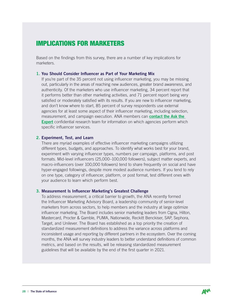# <span id="page-27-0"></span>IMPLICATIONS FOR MARKETERS

Based on the findings from this survey, there are a number of key implications for marketers.

#### 1. You Should Consider Influencer as Part of Your Marketing Mix

If you're part of the 35 percent not using influencer marketing, you may be missing out, particularly in the areas of reaching new audiences, greater brand awareness, and authenticity. Of the marketers who use influencer marketing, 34 percent report that it performs better than other marketing activities, and 71 percent report being very satisfied or moderately satisfied with its results. If you are new to influencer marketing, and don't know where to start, 85 percent of survey respondents use external agencies for at least some aspect of their influencer marketing, including selection, measurement, and campaign execution. ANA members can **contact the Ask the [Expert](https://www.ana.net/content/show/id/asktheexpert-intro)** confidential research team for information on which agencies perform which specific influencer services.

#### 2. Experiment, Test, and Learn

There are myriad examples of effective influencer marketing campaigns utilizing different types, budgets, and approaches. To identify what works best for your brand, experiment with varying influencer types, numbers per campaign, platforms, and post formats. Mid-level influencers (25,000–100,000 followers), subject matter experts, and macro-influencers (over 100,000 followers) tend to share frequently on social and have hyper-engaged followings, despite more modest audience numbers. If you tend to rely on one type, category of influencer, platform, or post format, test different ones with your audience to learn which perform best.

#### 3. Measurement Is Influencer Marketing's Greatest Challenge

To address measurement, a critical barrier to growth, the ANA recently formed the Influencer Marketing Advisory Board, a leadership community of senior-level marketers from across sectors, to help members and the industry at large optimize influencer marketing. The Board includes senior marketing leaders from Cigna, Hilton, Mastercard, Procter & Gamble, PUMA, Nationwide, Reckitt Benckiser, SAP, Sephora, Target, and Unilever. The Board has established as a top priority the creation of standardized measurement definitions to address the variance across platforms and inconsistent usage and reporting by different partners in the ecosystem. Over the coming months, the ANA will survey industry leaders to better understand definitions of common metrics, and based on the results, will be releasing standardized measurement guidelines that will be available by the end of the first quarter in 2021.

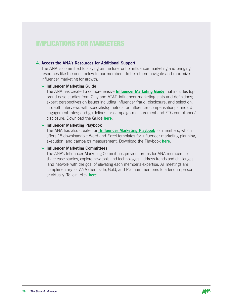### IMPLICATIONS FOR MARKETERS

#### 4. Access the ANA's Resources for Additional Support

The ANA is committed to staying on the forefront of influencer marketing and bringing resources like the ones below to our members, to help them navigate and maximize influencer marketing for growth.

#### » Influencer Marketing Guide

The ANA has created a comprehensive **[Influencer Marketing Guide](https://www.ana.net/miccontent/show/id/dm-toolprofile-influencer-guide)** that includes top brand case studies from Olay and AT&T; influencer marketing stats and definitions; expert perspectives on issues including influencer fraud, disclosure, and selection; in-depth interviews with specialists; metrics for influencer compensation; standard engagement rates; and guidelines for campaign measurement and FTC compliance/ disclosure. Download the Guide [here](https://www.ana.net/miccontent/show/id/dm-toolprofile-influencer-guide).

#### » Influencer Marketing Playbook

The ANA has also created an **Influencer Marketing Playbook** for members, which offers 15 downloadable Word and Excel templates for influencer marketing planning, execution, and campaign measurement. Download the Playbook [here](https://www.ana.net/miccontent/show/id/dm-toolkit-influencer-marketing).

#### » Influencer Marketing Committees

The ANA's Influencer Marketing Committees provide forums for ANA members to share case studies, explore new tools and technologies, address trends and challenges, and network with the goal of elevating each member's expertise. All meetings are complimentary for ANA client-side, Gold, and Platinum members to attend in-person or virtually. To join, click [here](https://www.ana.net/committee/joincomm).

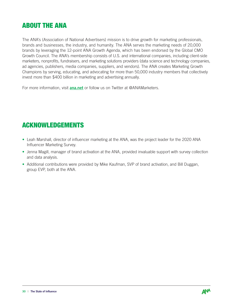# <span id="page-29-0"></span>ABOUT THE ANA

The ANA's (Association of National Advertisers) mission is to drive growth for marketing professionals, brands and businesses, the industry, and humanity. The ANA serves the marketing needs of 20,000 brands by leveraging the 12-point ANA Growth Agenda, which has been endorsed by the Global CMO Growth Council. The ANA's membership consists of U.S. and international companies, including client-side marketers, nonprofits, fundraisers, and marketing solutions providers (data science and technology companies, ad agencies, publishers, media companies, suppliers, and vendors). The ANA creates Marketing Growth Champions by serving, educating, and advocating for more than 50,000 industry members that collectively invest more than \$400 billion in marketing and advertising annually.

For more information, visit **[ana.net](http://www.ana.net)** or follow us on Twitter at @ANAMarketers.

# ACKNOWLEDGEMENTS

- Leah Marshall, director of influencer marketing at the ANA, was the project leader for the 2020 ANA Influencer Marketing Survey.
- Jenna Magill, manager of brand activation at the ANA, provided invaluable support with survey collection and data analysis.
- Additional contributions were provided by Mike Kaufman, SVP of brand activation, and Bill Duggan, group EVP, both at the ANA.